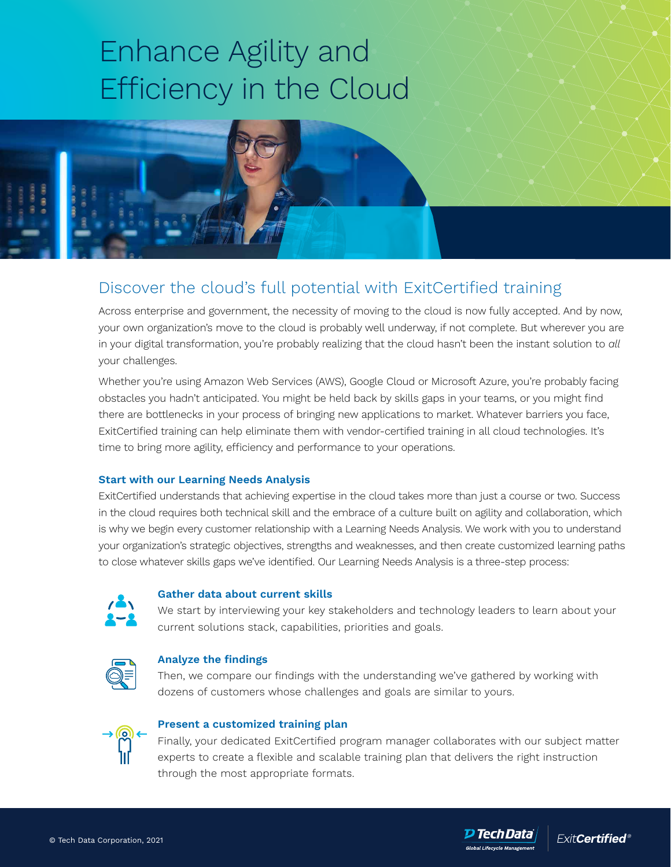# Enhance Agility and Efficiency in the Cloud

# Discover the cloud's full potential with ExitCertified training

Across enterprise and government, the necessity of moving to the cloud is now fully accepted. And by now, your own organization's move to the cloud is probably well underway, if not complete. But wherever you are in your digital transformation, you're probably realizing that the cloud hasn't been the instant solution to *all* your challenges.

Whether you're using Amazon Web Services (AWS), Google Cloud or Microsoft Azure, you're probably facing obstacles you hadn't anticipated. You might be held back by skills gaps in your teams, or you might find there are bottlenecks in your process of bringing new applications to market. Whatever barriers you face, ExitCertified training can help eliminate them with vendor-certified training in all cloud technologies. It's time to bring more agility, efficiency and performance to your operations.

### **Start with our Learning Needs Analysis**

ExitCertified understands that achieving expertise in the cloud takes more than just a course or two. Success in the cloud requires both technical skill and the embrace of a culture built on agility and collaboration, which is why we begin every customer relationship with a Learning Needs Analysis. We work with you to understand your organization's strategic objectives, strengths and weaknesses, and then create customized learning paths to close whatever skills gaps we've identified. Our Learning Needs Analysis is a three-step process:



## **Gather data about current skills**

We start by interviewing your key stakeholders and technology leaders to learn about your current solutions stack, capabilities, priorities and goals.



## **Analyze the findings**

Then, we compare our findings with the understanding we've gathered by working with dozens of customers whose challenges and goals are similar to yours.



### **Present a customized training plan**

Finally, your dedicated ExitCertified program manager collaborates with our subject matter experts to create a flexible and scalable training plan that delivers the right instruction through the most appropriate formats.

D TechData`

ے<br>Global Lifecycle Manade

**ExitCertified®**